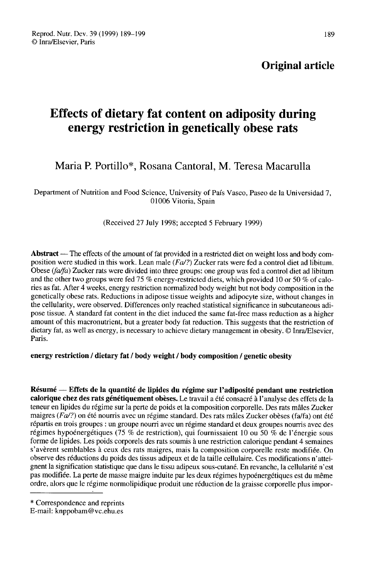# Effects of dietary fat content on adiposity during energy restriction in genetically obese rats

# Maria P. Portillo\*, Rosana Cantoral, M. Teresa Macarulla

Department of Nutrition and Food Science, University of País Vasco, Paseo de la Universidad 7, 01006 Vitoria, Spain

(Received 27 July 1998; accepted 5 February 1999)

Abstract — The effects of the amount of fat provided in a restricted diet on weight loss and body composition were studied in this work. Lean male (Fa/?) Zucker rats were fed a control diet ad libitum. Obese ( $fa/fa$ ) Zucker rats were divided into three groups: one group was fed a control diet ad libitum and the other two groups were fed 75 % energy-restricted diets, which provided 10 or 50 % of calories as fat. After 4 weeks, energy restriction normalized body weight but not body composition in the genetically obese rats. Reductions in adipose tissue weights and adipocyte size, without changes in the cellularity, were observed. Differences only reached statistical significance in subcutaneous adipose tissue. A standard fat content in the diet induced the same fat-free mass reduction as a higher amount of this macronutrient, but a greater body fat reduction. This suggests that the restriction of dietary fat, as well as energy, is necessary to achieve dietary management in obesity. @ Inra/Elsevier, Paris.

# energy restriction / dietary fat / body weight / body composition / genetic obesity

Résumé ― Effets de la quantité de lipides du régime sur l'adiposité pendant une restriction calorique chez des rats génétiquement obèses. Le travail a été consacré à l'analyse des effets de la teneur en lipides du régime sur la perte de poids et la composition corporelle. Des rats mâles Zucker maigres ( $Fa$ ?) on été nourris avec un régime standard. Des rats mâles Zucker obèses ( $fa$ / $fa$ ) ont été répartis en trois groupes : un groupe nourri avec un régime standard et deux groupes nourris avec des régimes hypoénergétiques (75 % de restriction), qui fournissaient 10 ou 50 % de l'énergie sous forme de lipides. Les poids corporels des rats soumis à une restriction calorique pendant 4 semaines s'avèrent semblables à ceux des rats maigres, mais la composition corporelle reste modifiée. On observe des réductions du poids des tissus adipeux et de la taille cellulaire. Ces modifications n'atteignent la signification statistique que dans le tissu adipeux sous-cutané. En revanche, la cellularité n'est pas modifiée. La perte de masse maigre induite par les deux régimes hypoénergétiques est du même ordre, alors que le régime normolipidique produit une réduction de la graisse corporelle plus impor regnnes hyponergenques (12<br>forme de lipides. Les poids cors<br>'avèrent semblables à ceux d<br>observe des réductions du poid<br>gnent la signification statistique<br>pas modifiée. La perte de mass<br>ordre, alors que le régime norm<br>\* Co

E-mail: knppobam@vc.ehu.es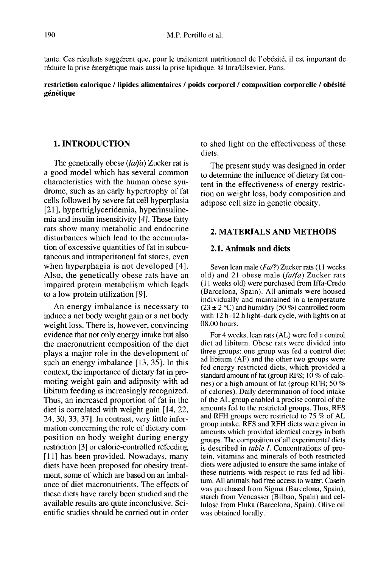tante. Ces résultats suggèrent que, pour le traitement nutritionnel de l'obésité, il est important de réduire la prise énergétique mais aussi la prise lipidique. @ Inra/Elsevier, Paris.

# restriction calorique / lipides alimentaires / poids corporel / composition corporelle / obésité génétique

# 1. INTRODUCTION

The genetically obese  $(fa/fa)$  Zucker rat is a good model which has several common characteristics with the human obese syndrome, such as an early hypertrophy of fat cells followed by severe fat cell hyperplasia [21], hypertriglyceridemia, hyperinsulinemia and insulin insensitivity [4]. These fatty rats show many metabolic and endocrine disturbances which lead to the accumulation of excessive quantities of fat in subcutaneous and intraperitoneal fat stores, even when hyperphagia is not developed [4]. Also, the genetically obese rats have an impaired protein metabolism which leads to a low protein utilization [9].

An energy imbalance is necessary to induce a net body weight gain or a net body weight loss. There is, however, convincing evidence that not only energy intake but also the macronutrient composition of the diet plays a major role in the development of such an energy imbalance [13, 35]. In this context, the importance of dietary fat in promoting weight gain and adiposity with ad libitum feeding is increasingly recognized. Thus, an increased proportion of fat in the diet is correlated with weight gain [14, 22, 24, 30, 33, 37]. In contrast, very little information concerning the role of dietary composition on body weight during energy restriction [3] or calorie-controlled refeeding [11] has been provided. Nowadays, many diets have been proposed for obesity treatment, some of which are based on an imbalance of diet macronutrients. The effects of these diets have rarely been studied and the available results are quite inconclusive. Scientific studies should be carried out in order

to shed light on the effectiveness of these diets.

The present study was designed in order to determine the influence of dietary fat content in the effectiveness of energy restriction on weight loss, body composition and adipose cell size in genetic obesity.

# 2. MATERIALS AND METHODS

# 2.1. Animals and diets

Seven lean male ( $Fa/$ ?) Zucker rats (11 weeks old) and 21 obese male  $(fa/fa)$  Zucker rats ( 1 1 weeks old) were purchased from Iffa-Credo (Barcelona, Spain). All animals were housed individually and maintained in a temperature  $(23 \pm 2 \degree C)$  and humidity (50 %) controlled room (11 weeks old) were purchased from Iffa-Credo<br>(Barcelona, Spain). All animals were housed<br>individually and maintained in a temperature<br>( $23 \pm 2$  °C) and humidity (50 %) controlled room<br>with 12 h-12 h light-dark cycle, wit 08.00 hours.

For 4 weeks, lean rats (AL) were fed a control diet ad libitum. Obese rats were divided into three groups: one group was fed a control diet ad libitum (AF) and the other two groups were fed energy-restricted diets, which provided a standard amount of fat (group RFS; 10 % of calories) or a high amount of fat (group RFH; 50 % of calories). Daily determination of food intake of the AL group enabled a precise control of the amounts fed to the restricted groups. Thus, RFS and RFH groups were restricted to 75 % of AL group intake. RFS and RFH diets were given in amounts which provided identical energy in both groups. The composition of all experimental diets is described in table I. Concentrations of protein, vitamins and minerals of both restricted diets were adjusted to ensure the same intake of these nutrients with respect to rats fed ad libitum. All animals had free access to water. Casein was purchased from Sigma (Barcelona, Spain), starch from Vencasser (Bilbao, Spain) and cellulose from Fluka (Barcelona, Spain). Olive oil was obtained locally.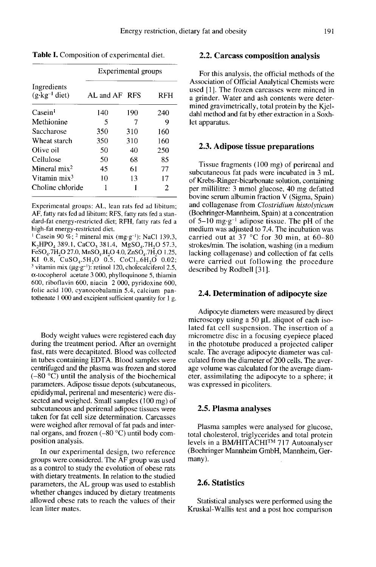**Table I.** Composition of experimental diet.

|                                         | Experimental groups |     |            |  |
|-----------------------------------------|---------------------|-----|------------|--|
| Ingredients<br>$(g \cdot kg^{-1}$ diet) | AL and AF RFS       |     | <b>RFH</b> |  |
| Casein <sup>1</sup>                     | 140                 | 190 | 240        |  |
| Methionine                              | 5                   |     | 9          |  |
| Saccharose                              | 350                 | 310 | 160        |  |
| Wheat starch                            | 350                 | 310 | 160        |  |
| Olive oil                               | 50                  | 40  | 250        |  |
| Cellulose                               | 50                  | 68  | 85         |  |
| Mineral $mix2$                          | 45                  | 61  | 77         |  |
| Vitamin mix <sup>3</sup>                | 10                  | 13  | 17         |  |
| Choline chloride                        |                     |     | 2          |  |

Experimental groups: AL, lean rats fed ad libitum: AF, fatty rats fed ad libitum: RFS, fatty rats fed a standard-fat energy-restricted diet; RFH, fatty rats fed a high-fat energy-restricted diet.

<sup>1</sup> Casein 90 %; <sup>2</sup> mineral mix (mg·g<sup>-1</sup>): NaCl 139.3, K<sub>2</sub>HPO<sub>4</sub> 389.1, CaCO<sub>3</sub> 381.4, MgSO<sub>4</sub>.7H<sub>2</sub>O 57.3,  $F \in SO_4$ .7H<sub>2</sub>O 27.0, MnSO<sub>4</sub>.H<sub>2</sub>O 4.0, ZnSO<sub>4</sub>.7H<sub>2</sub>O 1.25, KI 0.8,  $CuSO<sub>4</sub>.5H<sub>2</sub>O$  0.5,  $CoCl<sub>2</sub>.6H<sub>2</sub>O$  0.02; <sup>3</sup> vitamin mix ( $\mu g \cdot g^{-1}$ ): retinol 120, cholecalciferol 2.5,  $\alpha$ -tocopherol acetate 3 000, phylloquinone 5, thiamin 600, riboflavin 600, niacin 2 000, pyridoxine 600, folic acid 100, cyanocobalamin 5.4, calcium pantothenate 1 000 and excipient sufficient quantity for 1 g.

Body weight values were registered each day during the treatment period. After an overnight fast, rats were decapitated. Blood was collected in tubes containing EDTA. Blood samples were centrifuged and the plasma was frozen and stored (-80 °C) until the analysis of the biochemical parameters. Adipose tissue depots (subcutaneous, epididymal, perirenal and mesenteric) were dissected and weighed. Small samples (100 mg) of subcutaneous and perirenal adipose tissues were taken for fat cell size determination. Carcasses were weighed after removal of fat pads and internal organs, and frozen  $(-80 °C)$  until body composition analysis.

In our experimental design, two reference groups were considered. The AF group was used as a control to study the evolution of obese rats with dietary treatments. In relation to the studied parameters, the AL group was used to establish whether changes induced by dietary treatments allowed obese rats to reach the values of their lean litter mates.

#### 2.2. Carcass composition analysis

For this analysis, the official methods of the Association of Official Analytical Chemists were used [I]. The frozen carcasses were minced in a grinder. Water and ash contents were determined gravimetrically, total protein by the Kjeldahl method and fat by ether extraction in a Soxhlet apparatus.

#### 2.3. Adipose tissue preparations

Tissue fragments (100 mg) of perirenal and subcutaneous fat pads were incubated in 3 mL of Krebs-Ringer-bicarbonate solution, containing per millilitre: 3 mmol glucose, 40 mg defatted bovine serum albumin fraction V (Sigma, Spain) and collagenase from Clostridium histolyticum (Boehringer-Mannheim, Spain) at a concentration<br>of  $5-10$  mg·g<sup>-1</sup> adipose tissue. The pH of the and collagenase from *Clostridium histolyticum*<br>(Boehringer-Mannheim, Spain) at a concentration<br>of 5-10 mg·g<sup>-1</sup> adipose tissue. The pH of the<br>medium was adjusted to 7.4. The incubation was carried out at 37 °C for 30 min, at  $60-80$ strokes/min. The isolation, washing (in a medium lacking collagenase) and collection of fat cells were carried out following the procedure described by Rodbell [31].

#### 2.4. Determination of adipocyte size

Adipocyte diameters were measured by direct microscopy using a 50  $\mu$ L aliquot of each isolated fat cell suspension. The insertion of a micrometre disc in a focusing eyepiece placed in the phototube produced a projected caliper scale. The average adipocyte diameter was calculated from the diameter of 200 cells. The average volume was calculated for the average diameter, assimilating the adipocyte to a sphere; it was expressed in picoliters.

#### 2.5. Plasma analyses

Plasma samples were analysed for glucose, total cholesterol, triglycerides and total protein<br>levels in a BM/HITACHI<sup>TM</sup> 717 Autoanalyser Plasma samples were analysed for glucose,<br>total cholesterol, triglycerides and total protein<br>levels in a BM/HITACHI<sup>TM</sup> 717 Autoanalyser<br>(Boehringer Mannheim GmbH, Mannheim, Germany).

#### 2.6. Statistics

Statistical analyses were performed using the Kruskal-Wallis test and a post hoc comparison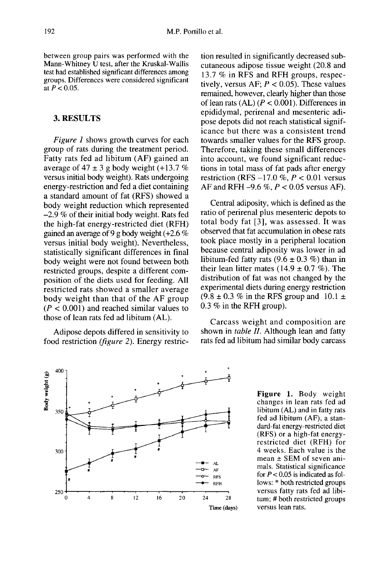between group pairs was performed with the  $M$ ann-Whitney  $\dot{U}$  test, after the Kruskal-Wallis test had established significant differences among groups. Differences were considered significant at  $P < 0.05$ .

# 3. RESULTS

Figure 1 shows growth curves for each group of rats during the treatment period. Fatty rats fed ad libitum (AF) gained an average of  $47 \pm 3$  g body weight (+13.7 %) versus initial body weight). Rats undergoing energy-restriction and fed a diet containing a standard amount of fat (RFS) showed a body weight reduction which represented  $-2.9\%$  of their initial body weight. Rats fed the high-fat energy-restricted diet (RFH) gained an average of 9 g body weight (+2.6 % versus initial body weight). Nevertheless, statistically significant differences in final body weight were not found between both restricted groups, despite a different composition of the diets used for feeding. All restricted rats showed a smaller average body weight than that of the AF group  $(P < 0.001)$  and reached similar values to those of lean rats fed ad libitum (AL).

Adipose depots differed in sensitivity to food restriction (figure 2). Energy restric-



Central adiposity, which is defined as the ratio of perirenal plus mesenteric depots to total body fat [3], was assessed. It was observed that fat accumulation in obese rats took place mostly in a peripheral location because central adiposity was lower in ad libitum-fed fatty rats  $(9.6 \pm 0.3 \%)$  than in their lean litter mates (14.9  $\pm$  0.7 %). The distribution of fat was not changed by the experimental diets during energy restriction  $(9.8 \pm 0.3 \% \text{ in the RFS group and } 10.1 \pm 1)$ 0.3 % in the RFH group).

Carcass weight and composition are shown in table II. Although lean and fatty rats fed ad libitum had similar body carcass



Figure 1. Body weight changes in lean rats fed ad libitum (AL) and in fatty rats fed ad libitum (AF), a standard-fat energy-restricted diet (RFS) or a high-fat energyrestricted diet (RFH) for 4 weeks. Each value is the mean  $\pm$  SEM of seven animals. Statistical significance for  $P < 0.05$  is indicated as follows: \* both restricted groups versus fatty rats fed ad libitum; # both restricted groups versus lean rats.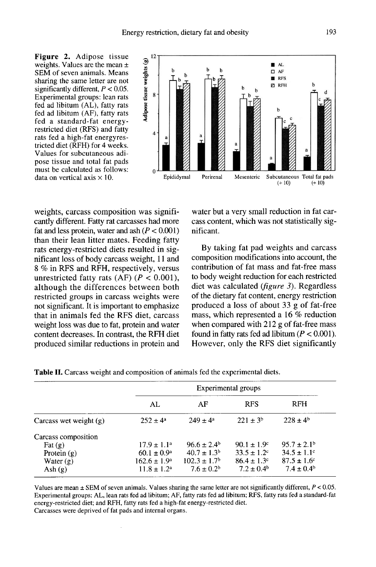Figure 2. Adipose tissue weights. Values are the mean  $\pm$ SEM of seven animals. Means sharing the same letter are not significantly different,  $P < 0.05$ . Experimental groups: lean rats fed ad libitum (AL), fatty rats fed ad libitum (AF), fatty rats fed a standard-fat energyrestricted diet (RFS) and fatty rats fed a high-fat energyrestricted diet (RFH) for 4 weeks. Values for subcutaneous adipose tissue and total fat pads must be calculated as follows: data on vertical axis  $\times$  10.



weights, carcass composition was significantly different. Fatty rat carcasses had more fat and less protein, water and ash  $(P < 0.001)$ than their lean litter mates. Feeding fatty rats energy-restricted diets resulted in significant loss of body carcass weight, 11 and 8 % in RFS and RFH, respectively, versus unrestricted fatty rats  $(AF)$   $(P < 0.001)$ , although the differences between both restricted groups in carcass weights were not significant. It is important to emphasize that in animals fed the RFS diet, carcass weight loss was due to fat, protein and water content decreases. In contrast, the RFH diet produced similar reductions in protein and

water but a very small reduction in fat carcass content, which was not statistically significant.

By taking fat pad weights and carcass composition modifications into account, the contribution of fat mass and fat-free mass to body weight reduction for each restricted diet was calculated (figure 3). Regardless of the dietary fat content, energy restriction produced a loss of about 33 g of fat-free mass, which represented a 16 % reduction when compared with 212 g of fat-free mass found in fatty rats fed ad libitum ( $P < 0.001$ ). However, only the RFS diet significantly

|                          | Experimental groups     |                              |                        |                             |  |
|--------------------------|-------------------------|------------------------------|------------------------|-----------------------------|--|
|                          | AL                      | AF                           | <b>RFS</b>             | <b>RFH</b>                  |  |
| Carcass wet weight $(g)$ | $252 \pm 4^{\circ}$     | $249 + 4^a$                  | $221 + 3^b$            | $228 \pm 4^6$               |  |
| Carcass composition      |                         |                              |                        |                             |  |
| $\text{Fat}(\mathbf{g})$ | $17.9 \pm 1.1^a$        | $96.6 \pm 2.4^{\circ}$       | $90.1 \pm 1.9^{\circ}$ | $95.7 \pm 2.1^{\circ}$      |  |
| Protein $(g)$            | $60.1 \pm 0.9^{\circ}$  | $40.7 \pm 1.3^{\rm b}$       | $33.5 \pm 1.2$ °       | $34.5 \pm 1.1$ °            |  |
| Water $(g)$              | $162.6 \pm 1.9^{\circ}$ | $102.3 \pm 1.7$ <sup>b</sup> | $86.4 \pm 1.3$ °       | $87.5 \pm 1.6$ <sup>c</sup> |  |
| Ash $(g)$                | $11.8 \pm 1.2^{\rm a}$  | $7.6 \pm 0.2^b$              | $7.2 \pm 0.4^{\rm b}$  | $7.4 \pm 0.4^{\rm b}$       |  |

Table II. Carcass weight and composition of animals fed the experimental diets.

Values are mean  $\pm$  SEM of seven animals. Values sharing the same letter are not significantly different,  $P < 0.05$ . Experimental groups: AL, lean rats fed ad libitum; AF, fatty rats fed ad libitum; RFS, fatty rats fed a standard-fat energy-restricted diet; and RFH, fatty rats fed a high-fat energy-restricted diet. Carcasses were deprived of fat pads and internal organs.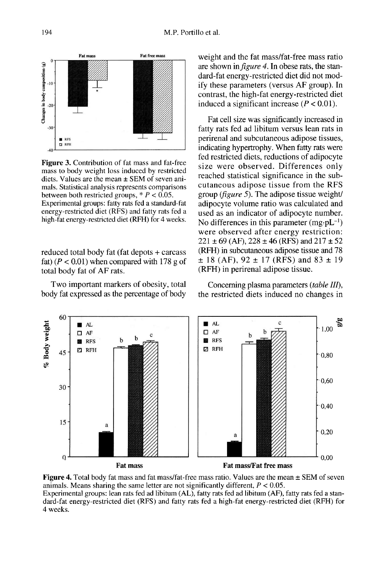

**Figure 3.** Contribution of fat mass and fat-free mass to body weight loss induced by restricted diets. Values are the mean  $\pm$  SEM of seven animals. Statistical analysis represents comparisons between both restricted groups,  $* P < 0.05$ .

Experimental groups: fatty rats fed a standard-fat energy-restricted diet (RFS) and fatty rats fed a high-fat energy-restricted diet (RFH) for 4 weeks.

reduced total body fat (fat depots + carcass fat)  $(P < 0.01)$  when compared with 178 g of total body fat of AF rats.

Two important markers of obesity, total body fat expressed as the percentage of body

weight and the fat mass/fat-free mass ratio are shown in figure 4. In obese rats, the standard-fat energy-restricted diet did not modify these parameters (versus AF group). In contrast, the high-fat energy-restricted diet induced a significant increase  $(P < 0.01)$ .

Fat cell size was significantly increased in fatty rats fed ad libitum versus lean rats in perirenal and subcutaneous adipose tissues, indicating hypertrophy. When fatty rats were fed restricted diets, reductions of adipocyte size were observed. Differences only reached statistical significance in the subcutaneous adipose tissue from the RFS group (figure 5). The adipose tissue weight/ adipocyte volume ratio was calculated and used as an indicator of adipocyte number.<br>No differences in this parameter  $(mg \cdot pL^{-1})$ cutaneous adipose tissue from the RFS<br>group (*figure 5*). The adipose tissue weight/<br>adipocyte volume ratio was calculated and<br>used as an indicator of adipocyte number.<br>No differences in this parameter (mg·pL<sup>-1</sup>)<br>were ob  $221 \pm 69$  (AF),  $228 \pm 46$  (RFS) and  $217 \pm 52$ (RFH) in subcutaneous adipose tissue and 78  $\pm$  18 (AF), 92  $\pm$  17 (RFS) and 83  $\pm$  19 (RFH) in perirenal adipose tissue.

Concerning plasma parameters (table III), the restricted diets induced no changes in



**Figure 4.** Total body fat mass and fat mass/fat-free mass ratio. Values are the mean  $\pm$  SEM of seven animals. Means sharing the same letter are not significantly different,  $P < 0.05$ . Experimental groups: lean rats fed ad libitum (AL), fatty rats fed ad libitum (AF), fatty rats fed a standard-fat energy-restricted diet (RFS) and fatty rats fed a high-fat energy-restricted diet (RFH) for 4 weeks.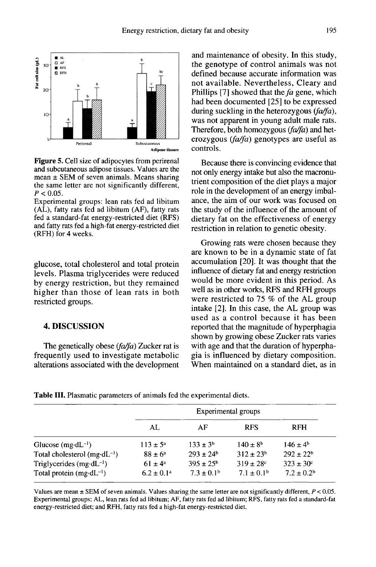

**Figure 5.** Cell size of adipocytes from perirenal and subcutaneous adipose tissues. Values are the mean  $\pm$  SEM of seven animals. Means sharing the same letter are not significantly different,  $P < 0.05$ .

Experimental groups: lean rats fed ad libitum (AL), fatty rats fed ad libitum (AF), fatty rats fed a standard-fat energy-restricted diet (RFS) and fatty rats fed a high-fat energy-restricted diet (RFH) for 4 weeks.

glucose, total cholesterol and total protein levels. Plasma triglycerides were reduced by energy restriction, but they remained higher than those of lean rats in both restricted groups.

#### 4. DISCUSSION

The genetically obese  $(fa/fa)$  Zucker rat is frequently used to investigate metabolic alterations associated with the development

and maintenance of obesity. In this study, the genotype of control animals was not defined because accurate information was not available. Nevertheless, Cleary and Phillips [7] showed that the fa gene, which had been documented [25] to be expressed during suckling in the heterozygous  $(fa/fa)$ , was not apparent in young adult male rats. Therefore, both homozygous  $(fa/fa)$  and heterozygous (fa/fa) genotypes are useful as controls.

Because there is convincing evidence that not only energy intake but also the macronutrient composition of the diet plays a major role in the development of an energy imbalance, the aim of our work was focused on the study of the influence of the amount of dietary fat on the effectiveness of energy restriction in relation to genetic obesity.

Growing rats were chosen because they are known to be in a dynamic state of fat accumulation [20]. It was thought that the influence of dietary fat and energy restriction would be more evident in this period. As well as in other works, RFS and RFH groups were restricted to 75 % of the AL group intake [2]. In this case, the AL group was used as a control because it has been reported that the magnitude of hyperphagia shown by growing obese Zucker rats varies with age and that the duration of hyperphagia is influenced by dietary composition. When maintained on a standard diet, as in

|  |  |  | <b>Table III.</b> Plasmatic parameters of animals fed the experimental diets. |  |  |  |  |
|--|--|--|-------------------------------------------------------------------------------|--|--|--|--|
|--|--|--|-------------------------------------------------------------------------------|--|--|--|--|

|                                        | Experimental groups |                       |                       |                       |  |
|----------------------------------------|---------------------|-----------------------|-----------------------|-----------------------|--|
|                                        | AL                  | AF                    | <b>RFS</b>            | <b>RFH</b>            |  |
| Glucose (mg·dL <sup>-1</sup> )         | $113 \pm 5^{\circ}$ | $133 \pm 3^{6}$       | $140 \pm 8^{\rm b}$   | $146 \pm 4^b$         |  |
| Total cholesterol $(mg \cdot dL^{-1})$ | $88 \pm 6^a$        | $293 \pm 24^{\circ}$  | $312 \pm 23^b$        | $292 \pm 22^b$        |  |
| Triglycerides (mg·dL <sup>-1</sup> )   | $61 \pm 4^a$        | $395 \pm 25^{\circ}$  | $319 \pm 28$ c        | $323 \pm 30^{\circ}$  |  |
| Total protein $(mg \cdot dL^{-1})$     | $6.2 \pm 0.1^a$     | $7.3 \pm 0.1^{\circ}$ | $7.1 \pm 0.1^{\circ}$ | $7.2 \pm 0.2^{\rm b}$ |  |

Values are mean  $\pm$  SEM of seven animals. Values sharing the same letter are not significantly different,  $P < 0.05$ . Experimental groups; AL, lean rats fed ad libitum; AF, fatty rats fed ad libitum; RFS, fatty rats fed a standard-fat energy-restricted diet; and RFH, fatty rats fed a high-fat energy-restricted diet.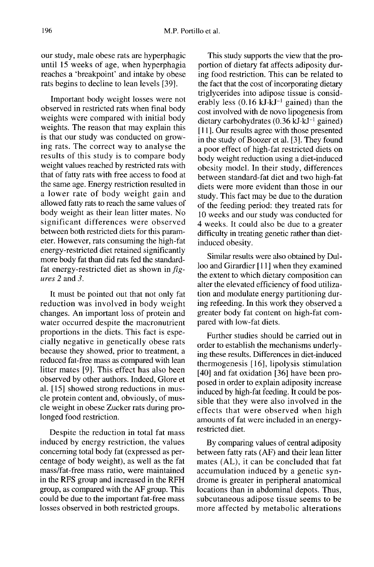our study, male obese rats are hyperphagic until 15 weeks of age, when hyperphagia reaches a 'breakpoint' and intake by obese rats begins to decline to lean levels [39].

Important body weight losses were not observed in restricted rats when final body weights were compared with initial body weights. The reason that may explain this is that our study was conducted on growing rats. The correct way to analyse the results of this study is to compare body weight values reached by restricted rats with that of fatty rats with free access to food at the same age. Energy restriction resulted in a lower rate of body weight gain and allowed fatty rats to reach the same values of body weight as their lean litter mates. No significant differences were observed between both restricted diets for this parameter. However, rats consuming the high-fat energy-restricted diet retained significantly more body fat than did rats fed the standardfat energy-restricted diet as shown in fig ures 2 and 3.

It must be pointed out that not only fat reduction was involved in body weight changes. An important loss of protein and water occurred despite the macronutrient proportions in the diets. This fact is especially negative in genetically obese rats because they showed, prior to treatment, a reduced fat-free mass as compared with lean litter mates [9]. This effect has also been observed by other authors. Indeed, Glore et al. [15] showed strong reductions in muscle protein content and, obviously, of muscle weight in obese Zucker rats during prolonged food restriction.

Despite the reduction in total fat mass induced by energy restriction, the values concerning total body fat (expressed as percentage of body weight), as well as the fat mass/fat-free mass ratio, were maintained in the RFS group and increased in the RFH group, as compared with the AF group. This could be due to the important fat-free mass losses observed in both restricted groups.

This study supports the view that the proportion of dietary fat affects adiposity during food restriction. This can be related to the fact that the cost of incorporating dietary triglycerides into adipose tissue is considerably less  $(0.16 \text{ kJ·kJ}^{-1} \text{ gained})$  than the cost involved with de novo lipogenesis from dietary carbohydrates  $(0.36 \text{ kJ·kJ}^{-1} \text{ gained})$ [11]. Our results agree with those presented in the study of Boozer et al. [3]. They found a poor effect of high-fat restricted diets on body weight reduction using a diet-induced obesity model. In their study, differences between standard-fat diet and two high-fat diets were more evident than those in our study. This fact may be due to the duration of the feeding period: they treated rats for 10 weeks and our study was conducted for 4 weeks. It could also be due to a greater difficulty in treating genetic rather than dietinduced obesity.

Similar results were also obtained by Dulloo and Girardier [11] when they examined the extent to which dietary composition can alter the elevated efficiency of food utilization and modulate energy partitioning during refeeding. In this work they observed a greater body fat content on high-fat compared with low-fat diets.

Further studies should be carried out in order to establish the mechanisms underlying these results. Differences in diet-induced thermogenesis [16], lipolysis stimulation [40] and fat oxidation [36] have been proposed in order to explain adiposity increase induced by high-fat feeding. It could be possible that they were also involved in the effects that were observed when high amounts of fat were included in an energyrestricted diet.

By comparing values of central adiposity between fatty rats (AF) and their lean litter mates (AL), it can be concluded that fat accumulation induced by a genetic syndrome is greater in peripheral anatomical locations than in abdominal depots. Thus, subcutaneous adipose tissue seems to be more affected by metabolic alterations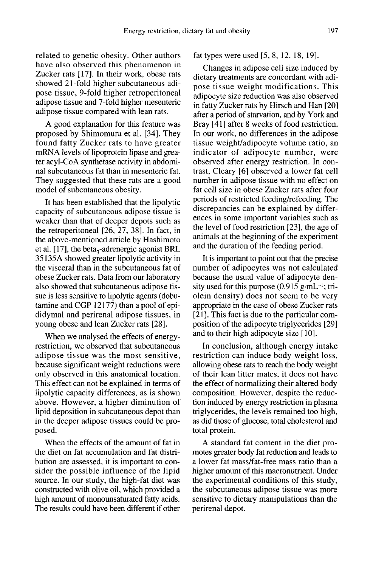related to genetic obesity. Other authors have also observed this phenomenon in Zucker rats [17]. In their work, obese rats showed 21-fold higher subcutaneous adipose tissue, 9-fold higher retroperitoneal adipose tissue and 7-fold higher mesenteric adipose tissue compared with lean rats.

A good explanation for this feature was proposed by Shimomura et al. [34]. They found fatty Zucker rats to have greater mRNA levels of lipoprotein lipase and greater acyl-CoA synthetase activity in abdominal subcutaneous fat than in mesenteric fat. They suggested that these rats are a good model of subcutaneous obesity.

It has been established that the lipolytic capacity of subcutaneous adipose tissue is weaker than that of deeper depots such as the retroperitoneal [26, 27, 38]. In fact, in the above-mentioned article by Hashimoto et al. [17], the beta<sub>2</sub>-adrenergic agonist BRL et al. (I) allows the allowing the allowing model of subcutaneous obesity.<br>It has been established that the lipolytic capacity of subcutaneous adipose tissue is weaker than that of deeper depots such as the retroperitonea 35135A showed greater lipolytic activity in the visceral than in the subcutaneous fat of obese Zucker rats. Data from our laboratory also showed that subcutaneous adipose tissue is less sensitive to lipolytic agents (dobutamine and CGP 12177) than a pool of epididymal and perirenal adipose tissues, in young obese and lean Zucker rats [28].

When we analysed the effects of energyrestriction, we observed that subcutaneous adipose tissue was the most sensitive, because significant weight reductions were only observed in this anatomical location. This effect can not be explained in terms of lipolytic capacity differences, as is shown above. However, a higher diminution of lipid deposition in subcutaneous depot than in the deeper adipose tissues could be proposed.

When the effects of the amount of fat in the diet on fat accumulation and fat distribution are assessed, it is important to consider the possible influence of the lipid source. In our study, the high-fat diet was constructed with olive oil, which provided a high amount of monounsaturated fatty acids. The results could have been different if other

## fat types were used [5, 8, 12, 18, 19].

Changes in adipose cell size induced by dietary treatments are concordant with adipose tissue weight modifications. This adipocyte size reduction was also observed in fatty Zucker rats by Hirsch and Han [20] after a period of starvation, and by York and Bray [41] after 8 weeks of food restriction. In our work, no differences in the adipose tissue weight/adipocyte volume ratio, an indicator of adipocyte number, were observed after energy restriction. In contrast, Cleary [6] observed a lower fat cell number in adipose tissue with no effect on fat cell size in obese Zucker rats after four periods of restricted feeding/refeeding. The discrepancies can be explained by differences in some important variables such as the level of food restriction [23], the age of animals at the beginning of the experiment and the duration of the feeding period.

It is important to point out that the precise number of adipocytes was not calculated because the usual value of adipocyte density used for this purpose  $(0.915 \text{ g} \cdot \text{mL}^{-1})$ ; tri-It is important to point out that the precise<br>number of adipocytes was not calculated<br>because the usual value of adipocyte den-<br>sity used for this purpose  $(0.915 \text{ g} \cdot \text{mL}^{-1})$ ; tri-<br>olein density) does not seem to be olein density) does not seem to be very appropriate in the case of obese Zucker rats [21]. This fact is due to the particular composition of the adipocyte triglycerides [29] and to their high adipocyte size [10].

In conclusion, although energy intake restriction can induce body weight loss, allowing obese rats to reach the body weight of their lean litter mates, it does not have the effect of normalizing their altered body composition. However, despite the reduction induced by energy restriction in plasma triglycerides, the levels remained too high, as did those of glucose, total cholesterol and total protein.

A standard fat content in the diet promotes greater body fat reduction and leads to a lower fat mass/fat-free mass ratio than a higher amount of this macronutrient. Under the experimental conditions of this study, the subcutaneous adipose tissue was more sensitive to dietary manipulations than the perirenal depot.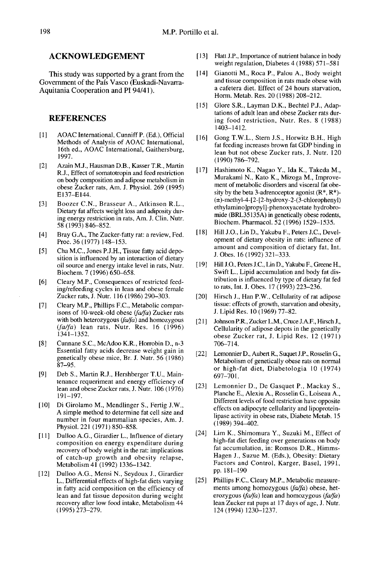#### ACKNOWLEDGEMENT

This study was supported by a grant from the Government of the Pais Vasco (Euskadi-Navarra-Aquitania Cooperation and PI 94/41).

# **REFERENCES**

- [1] AOAC International, Cunniff P. (Ed.), Official Methods of Analysis of AOAC International, 16th ed., AOAC International, Gaithersburg, 1997.
- [2] Azain M.J., Hausman D.B., Kasser T.R., Martin R.J., Effect of somatotropin and feed restriction on body composition and adipose metabolism in obese Zucker rats, Am. J. Physiol. 269 (1995) E137-E144.
- [3] Boozer C.N., Brasseur A., Atkinson R.L., Dietary fat affects weight loss and adiposity during energy restriction in rats, Am. J. Clin. Nutr. 58 (1993) 846-852.
- [4] Bray G.A., The Zucker-fatty rat: a review, Fed. Proc. 36 (1977) 148-153.
- [5] Cha M.C., Jones P.J.H., Tissue fatty acid deposition is influenced by an interaction of dietary oil source and energy intake level in rats, Nutr. Biochem. 7 (1996) 650-658.
- [6] Cleary M.P., Consequences of restricted feeding/refeeding cycles in lean and obese female Zucker rats, J. Nutr. 116 (1986) 290-303.
- [7] Cleary M.P., Phillips F.C., Metabolic comparisons of 10-week-old obese (fa/fa) Zucker rats with both heterozygous  $(fa/fa)$  and homozygous  $(fa/fa)$  lean rats, Nutr. Res. 16 (1996) 1341-1352.
- [8] Cunnane S.C., McAdoo K.R., Horrobin D., n-3 Essential fatty acids decrease weight gain in genetically obese mice, Br. J. Nutr. 56 (1986) 87-95.
- [9] Deb S., Martin R.J., Hershberger T.U., Maintenance requeriment and energy efficiency of lean and obese Zucker rats, J. Nutr. 106 (1976) 191-197.
- [10] Di Girolamo M., Mendlinger S., Fertig J.W., A simple method to determine fat cell size and number in four mammalian species, Am. J. Physiol. 221 (1971) 850-858.
- [11] Dulloo A.G., Girardier L., Influence of dietary composition on energy expenditure during recovery of body weight in the rat: implications of catch-up growth and obesity relapse, Metabolism 41 (1992) 1336-1342.
- [12] Dulloo A.G., Mensi N., Seydoux J., Girardier L., Differential effects of high-fat diets varying in fatty acid composition on the efficiency of lean and fat tissue depositon during weight recovery after low food intake, Metabolism 44 (1995) 273-279.
- [13] Flatt J.P., Importance of nutrient balance in body weight regulation, Diabetes  $4(1988)$  571-581
- [14] Gianotti M., Roca P., Palou A., Body weight and tissue composition in rats made obese with a cafetera diet. Effect of 24 hours starvation, Horm. Metab. Res. 20 (1988) 208-212.
- [15] Glore S.R., Layman D.K., Bechtel P.J., Adaptations of adult lean and obese Zucker rats during food restriction, Nutr. Res. 8 (1988) 1403-1412.
- [16] Gong T.W.L., Stern J.S., Horwitz B.H., High fat feeding increases brown fat GDP binding in lean but not obese Zucker rats, J. Nutr. 120 (1990)786-792.
- [17] Hashimoto K., Nagao Y., Ida K., Takeda M., Murakami N., Kato K., Mizoga M., Improve ment of metabolic disorders and visceral fat obesity by the beta 3-adrenoceptor agonist  $(R^*, R^*)$ - $(\pm)$ -methyl-4-[2-[2-hydroxy-2-(3-chlorophenyl) ethylamino]propyl]-phenoxyacetate hydrobromide (BRL35135A) in genetically obese rodents, Biochem. Pharmacol. 52 (1996) 1529-1535.
- [18] Hill J.O., Lin D., Yakubu F., Peters J.C., Development of dietary obesity in rats: influence of amount and composition of dietary fat, Int. J. Obes. 16 (1992) 321-333.
- [19] Hill J.O., Peters J.C., Lin D., Yakubu F., Greene H., Swift L., Lipid accumulation and body fat distribution is influenced by type of dietary fat fed to rats, Int. J. Obes. 17 (1993) 223-236.
- [20] Hirsch J., Han P.W., Cellularity of rat adipose tissue: effects of growth, starvation and obesity, J. Lipid Res. 10 (1969) 77-82.
- [21] Johnson P.R., Zucker L.M., Cruce J.A.F., Hirsch J., Cellularity of adipose depots in the genetically obese Zucker rat, J. Lipid Res. 12 (1971) 706-714.
- [22] Lemonnier D., Aubert R., Suquet J.P., Rosselin G., Metabolism of genetically obese rats on normal or high-fat diet, Diabetologia 10 (1974) 697-701.
- [23] Lemonnier D., De Gasquet P., Mackay S., Planche E., Alexiu A., Rosselin G., Loiseau A., Different levels of food restriction have opposite effects on adipocyte cellularity and lipoproteinlipase activity in obese rats, Diabete Metab. 15 (1989)394-402.
- [24] Lim K., Shimomura Y., Suzuki M., Effect of fat accumulation, in: Romsos D.R., Himms-Hagen J., Suzue M. (Eds.), Obesity: Dietary Factors and Control, Karger, Basel, 1991, pp.181-190
- [25] Phillips F.C., Cleary M.P., Metabolic measurements among homozygous (fa/fa) obese, heterozygous ( $fa/fa$ ) lean and homozygous ( $fa/fa$ ) lean Zucker rat pups at 17 days of age, J. Nutr. 124 (1994) 1230-1237.